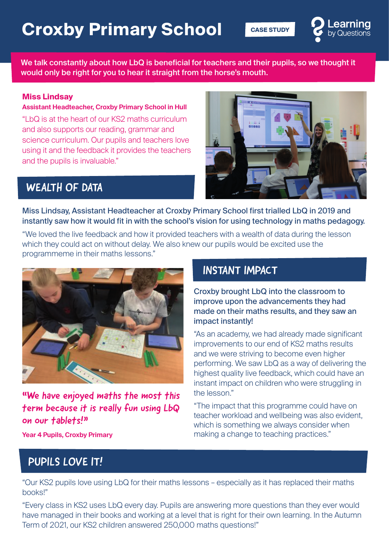# **Croxby Primary School CASE STUDY**



We talk constantly about how LbQ is beneficial for teachers and their pupils, so we thought it would only be right for you to hear it straight from the horse's mouth.

#### **Miss Lindsay**

#### **Assistant Headteacher, Croxby Primary School in Hull**

"LbQ is at the heart of our KS2 maths curriculum and also supports our reading, grammar and science curriculum. Our pupils and teachers love using it and the feedback it provides the teachers and the pupils is invaluable."



### WEALTH OF DATA

Miss Lindsay, Assistant Headteacher at Croxby Primary School first trialled LbQ in 2019 and instantly saw how it would fit in with the school's vision for using technology in maths pedagogy.

"We loved the live feedback and how it provided teachers with a wealth of data during the lesson which they could act on without delay. We also knew our pupils would be excited use the programmeme in their maths lessons."



"We have enjoyed maths the most this term because it is really fun using LbQ on our tablets!"

#### INSTANT IMPACT

Croxby brought LbQ into the classroom to improve upon the advancements they had made on their maths results, and they saw an impact instantly!

"As an academy, we had already made significant improvements to our end of KS2 maths results and we were striving to become even higher performing. We saw LbQ as a way of delivering the highest quality live feedback, which could have an instant impact on children who were struggling in the lesson."

"The impact that this programme could have on teacher workload and wellbeing was also evident, which is something we always consider when making a change to teaching practices."

**Year 4 Pupils, Croxby Primary**

## PUPILS LOVE IT!

"Our KS2 pupils love using LbQ for their maths lessons – especially as it has replaced their maths books!"

"Every class in KS2 uses LbQ every day. Pupils are answering more questions than they ever would have managed in their books and working at a level that is right for their own learning. In the Autumn Term of 2021, our KS2 children answered 250,000 maths questions!"